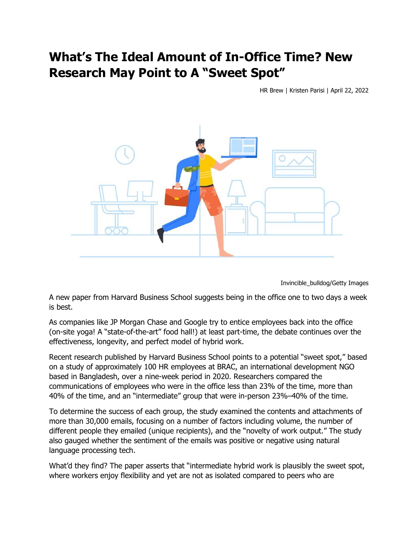## **What's The Ideal Amount of In-Office Time? New Research May Point to A "Sweet Spot"**

HR Brew | Kristen Parisi | April 22, 2022



Invincible\_bulldog/Getty Images

A new paper from Harvard Business School suggests being in the office one to two days a week is best.

As companies like JP Morgan Chase and Google try to entice employees back into the office (on-site yoga! A "state-of-the-art" food hall!) at least part-time, the debate continues over the effectiveness, longevity, and perfect model of hybrid work.

Recent research published by Harvard Business School points to a potential "sweet spot," based on a study of approximately 100 HR employees at BRAC, an international development NGO based in Bangladesh, over a nine-week period in 2020. Researchers compared the communications of employees who were in the office less than 23% of the time, more than 40% of the time, and an "intermediate" group that were in-person 23%–40% of the time.

To determine the success of each group, the study examined the contents and attachments of more than 30,000 emails, focusing on a number of factors including volume, the number of different people they emailed (unique recipients), and the "novelty of work output." The study also gauged whether the sentiment of the emails was positive or negative using natural language processing tech.

What'd they find? The paper asserts that "intermediate hybrid work is plausibly the sweet spot, where workers enjoy flexibility and yet are not as isolated compared to peers who are